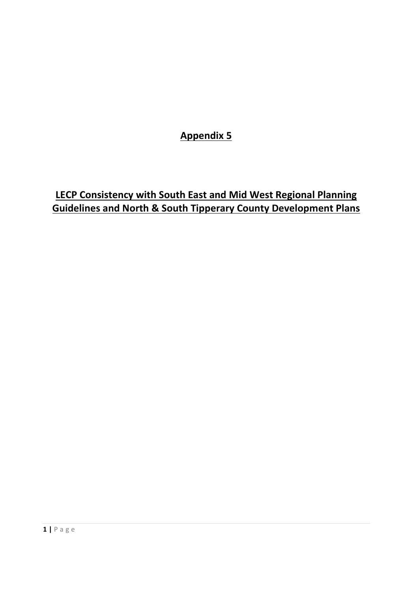**Appendix 5**

**LECP Consistency with South East and Mid West Regional Planning Guidelines and North & South Tipperary County Development Plans**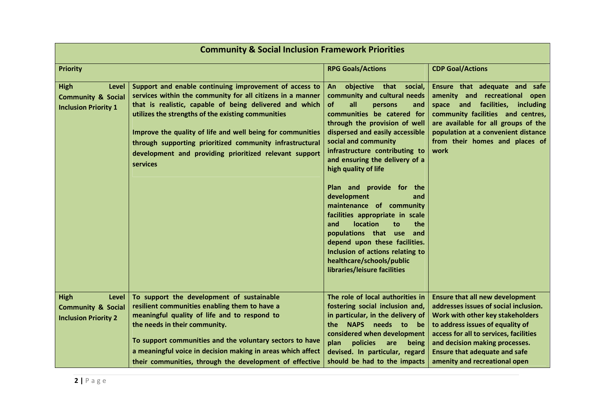| <b>Community &amp; Social Inclusion Framework Priorities</b>                         |                                                                                                                                                                                                                                                                                                                                                                                                                                              |                                                                                                                                                                                                                                                                                                                                                                                                                                                                                                                                                                                                                                        |                                                                                                                                                                                                                                                                                                              |
|--------------------------------------------------------------------------------------|----------------------------------------------------------------------------------------------------------------------------------------------------------------------------------------------------------------------------------------------------------------------------------------------------------------------------------------------------------------------------------------------------------------------------------------------|----------------------------------------------------------------------------------------------------------------------------------------------------------------------------------------------------------------------------------------------------------------------------------------------------------------------------------------------------------------------------------------------------------------------------------------------------------------------------------------------------------------------------------------------------------------------------------------------------------------------------------------|--------------------------------------------------------------------------------------------------------------------------------------------------------------------------------------------------------------------------------------------------------------------------------------------------------------|
| <b>Priority</b>                                                                      |                                                                                                                                                                                                                                                                                                                                                                                                                                              | <b>RPG Goals/Actions</b>                                                                                                                                                                                                                                                                                                                                                                                                                                                                                                                                                                                                               | <b>CDP Goal/Actions</b>                                                                                                                                                                                                                                                                                      |
| <b>High</b><br>Level<br><b>Community &amp; Social</b><br><b>Inclusion Priority 1</b> | Support and enable continuing improvement of access to<br>services within the community for all citizens in a manner<br>that is realistic, capable of being delivered and which<br>utilizes the strengths of the existing communities<br>Improve the quality of life and well being for communities<br>through supporting prioritized community infrastructural<br>development and providing prioritized relevant support<br><b>services</b> | objective that<br>An<br>social,<br>community and cultural needs<br>of<br>all<br>and<br>persons<br>communities be catered for<br>through the provision of well<br>dispersed and easily accessible<br>social and community<br>infrastructure contributing to<br>and ensuring the delivery of a<br>high quality of life<br>Plan and provide for the<br>development<br>and<br>maintenance of community<br>facilities appropriate in scale<br>location<br>and<br>the<br>to<br>populations that use<br>and<br>depend upon these facilities.<br>Inclusion of actions relating to<br>healthcare/schools/public<br>libraries/leisure facilities | Ensure that adequate and safe<br>amenity and recreational open<br>space and facilities, including<br>community facilities and centres,<br>are available for all groups of the<br>population at a convenient distance<br>from their homes and places of<br>work                                               |
| <b>High</b><br>Level<br><b>Community &amp; Social</b><br><b>Inclusion Priority 2</b> | To support the development of sustainable<br>resilient communities enabling them to have a<br>meaningful quality of life and to respond to<br>the needs in their community.<br>To support communities and the voluntary sectors to have<br>a meaningful voice in decision making in areas which affect<br>their communities, through the development of effective                                                                            | The role of local authorities in<br>fostering social inclusion and,<br>in particular, in the delivery of<br>NAPS needs to be<br>the<br>considered when development<br>policies<br>plan<br>are<br>being<br>devised. In particular, regard<br>should be had to the impacts                                                                                                                                                                                                                                                                                                                                                               | <b>Ensure that all new development</b><br>addresses issues of social inclusion.<br>Work with other key stakeholders<br>to address issues of equality of<br>access for all to services, facilities<br>and decision making processes.<br><b>Ensure that adequate and safe</b><br>amenity and recreational open |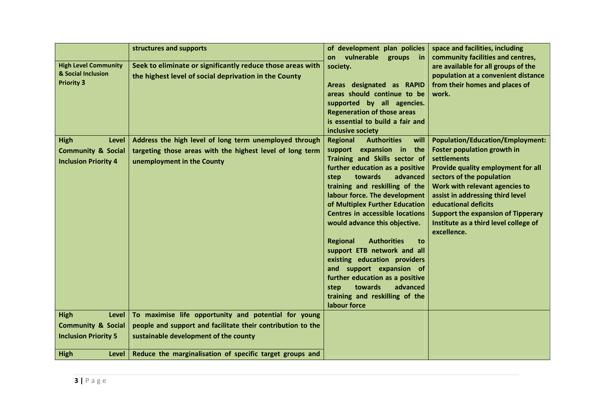|                                                                                      | structures and supports                                                                                                                           | of development plan policies<br>vulnerable<br>on                                                                                                                                                                                                                                                                                                                                                                                                                                                                                                                                                                           | space and facilities, including<br>community facilities and centres,                                                                                                                                                                                                                                                                                               |
|--------------------------------------------------------------------------------------|---------------------------------------------------------------------------------------------------------------------------------------------------|----------------------------------------------------------------------------------------------------------------------------------------------------------------------------------------------------------------------------------------------------------------------------------------------------------------------------------------------------------------------------------------------------------------------------------------------------------------------------------------------------------------------------------------------------------------------------------------------------------------------------|--------------------------------------------------------------------------------------------------------------------------------------------------------------------------------------------------------------------------------------------------------------------------------------------------------------------------------------------------------------------|
| <b>High Level Community</b><br>& Social Inclusion<br><b>Priority 3</b>               | Seek to eliminate or significantly reduce those areas with<br>the highest level of social deprivation in the County                               | groups<br><b>in</b><br>society.<br>Areas designated as RAPID<br>areas should continue to be<br>supported by all agencies.<br><b>Regeneration of those areas</b><br>is essential to build a fair and<br>inclusive society                                                                                                                                                                                                                                                                                                                                                                                                   | are available for all groups of the<br>population at a convenient distance<br>from their homes and places of<br>work.                                                                                                                                                                                                                                              |
| <b>High</b><br>Level<br><b>Community &amp; Social</b><br><b>Inclusion Priority 4</b> | Address the high level of long term unemployed through<br>targeting those areas with the highest level of long term<br>unemployment in the County | <b>Authorities</b><br><b>Regional</b><br>will<br>support expansion in the<br>Training and Skills sector of<br>further education as a positive<br>towards<br>advanced<br>step<br>training and reskilling of the<br>labour force. The development<br>of Multiplex Further Education<br><b>Centres in accessible locations</b><br>would advance this objective.<br><b>Authorities</b><br><b>Regional</b><br>to<br>support ETB network and all<br>existing education providers<br>and support expansion of<br>further education as a positive<br>advanced<br>towards<br>step<br>training and reskilling of the<br>labour force | <b>Population/Education/Employment:</b><br><b>Foster population growth in</b><br>settlements<br>Provide quality employment for all<br>sectors of the population<br>Work with relevant agencies to<br>assist in addressing third level<br>educational deficits<br><b>Support the expansion of Tipperary</b><br>Institute as a third level college of<br>excellence. |
| Level<br><b>High</b><br><b>Community &amp; Social</b>                                | To maximise life opportunity and potential for young<br>people and support and facilitate their contribution to the                               |                                                                                                                                                                                                                                                                                                                                                                                                                                                                                                                                                                                                                            |                                                                                                                                                                                                                                                                                                                                                                    |
| <b>Inclusion Priority 5</b>                                                          | sustainable development of the county                                                                                                             |                                                                                                                                                                                                                                                                                                                                                                                                                                                                                                                                                                                                                            |                                                                                                                                                                                                                                                                                                                                                                    |
| <b>High</b><br>Level                                                                 | Reduce the marginalisation of specific target groups and                                                                                          |                                                                                                                                                                                                                                                                                                                                                                                                                                                                                                                                                                                                                            |                                                                                                                                                                                                                                                                                                                                                                    |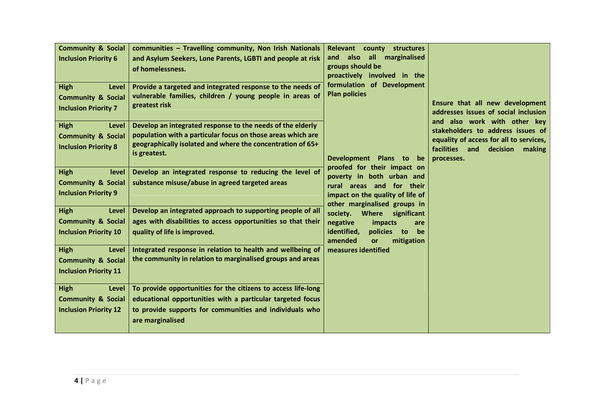| <b>Community &amp; Social</b><br><b>Inclusion Priority 6</b><br><b>High</b><br>Level<br><b>Community &amp; Social</b><br><b>Inclusion Priority 7</b> | communities - Travelling community, Non Irish Nationals<br>and Asylum Seekers, Lone Parents, LGBTI and people at risk<br>of homelessness.<br>Provide a targeted and integrated response to the needs of<br>vulnerable families, children / young people in areas of<br>greatest risk | Relevant county structures<br>all<br>marginalised<br>and also<br>groups should be<br>proactively involved in the<br>formulation of Development<br><b>Plan policies</b> | Ensure that all new development<br>addresses issues of social inclusion                                                                                            |
|------------------------------------------------------------------------------------------------------------------------------------------------------|--------------------------------------------------------------------------------------------------------------------------------------------------------------------------------------------------------------------------------------------------------------------------------------|------------------------------------------------------------------------------------------------------------------------------------------------------------------------|--------------------------------------------------------------------------------------------------------------------------------------------------------------------|
| <b>High</b><br>Level<br><b>Community &amp; Social</b><br><b>Inclusion Priority 8</b>                                                                 | Develop an integrated response to the needs of the elderly<br>population with a particular focus on those areas which are<br>geographically isolated and where the concentration of 65+<br>is greatest.                                                                              | Development Plans to<br>be<br>proofed for their impact on                                                                                                              | and also work with other key<br>stakeholders to address issues of<br>equality of access for all to services,<br>facilities and<br>decision<br>making<br>processes. |
| <b>High</b><br>level<br><b>Community &amp; Social</b><br><b>Inclusion Priority 9</b>                                                                 | Develop an integrated response to reducing the level of<br>substance misuse/abuse in agreed targeted areas                                                                                                                                                                           | poverty in both urban and<br>rural areas and for their<br>impact on the quality of life of<br>other marginalised groups in                                             |                                                                                                                                                                    |
| <b>High</b><br>Level<br><b>Community &amp; Social</b><br><b>Inclusion Priority 10</b>                                                                | Develop an integrated approach to supporting people of all<br>ages with disabilities to access opportunities so that their<br>quality of life is improved.                                                                                                                           | society.<br><b>Where</b><br>significant<br>negative<br>impacts<br>are<br>identified,<br>policies to<br>be<br>amended<br>mitigation<br>or                               |                                                                                                                                                                    |
| <b>High</b><br>Level<br><b>Community &amp; Social</b><br><b>Inclusion Priority 11</b>                                                                | Integrated response in relation to health and wellbeing of<br>the community in relation to marginalised groups and areas                                                                                                                                                             | measures identified                                                                                                                                                    |                                                                                                                                                                    |
| <b>High</b><br>Level<br><b>Community &amp; Social</b><br><b>Inclusion Priority 12</b>                                                                | To provide opportunities for the citizens to access life-long<br>educational opportunities with a particular targeted focus<br>to provide supports for communities and individuals who<br>are marginalised                                                                           |                                                                                                                                                                        |                                                                                                                                                                    |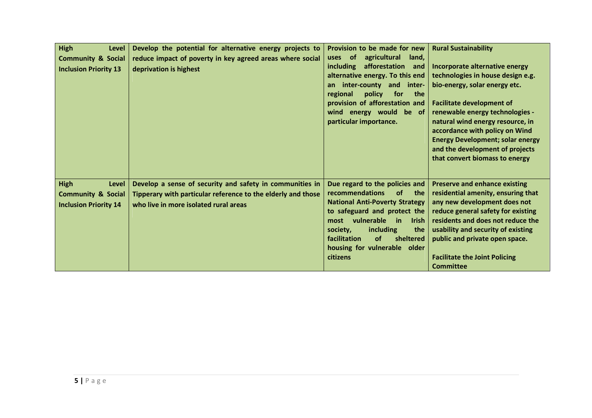| <b>High</b><br>Level<br><b>Community &amp; Social</b><br><b>Inclusion Priority 13</b>        | Develop the potential for alternative energy projects to<br>reduce impact of poverty in key agreed areas where social<br>deprivation is highest                   | Provision to be made for new<br><b>of</b><br>agricultural<br>land,<br>uses<br><b>including</b><br>afforestation<br>and<br>alternative energy. To this end<br>inter-county and inter-<br>an<br>policy<br>for<br>the<br>regional<br>provision of afforestation and<br>wind energy would be of<br>particular importance.          | <b>Rural Sustainability</b><br>Incorporate alternative energy<br>technologies in house design e.g.<br>bio-energy, solar energy etc.<br><b>Facilitate development of</b><br>renewable energy technologies -<br>natural wind energy resource, in<br>accordance with policy on Wind<br><b>Energy Development; solar energy</b><br>and the development of projects<br>that convert biomass to energy |
|----------------------------------------------------------------------------------------------|-------------------------------------------------------------------------------------------------------------------------------------------------------------------|--------------------------------------------------------------------------------------------------------------------------------------------------------------------------------------------------------------------------------------------------------------------------------------------------------------------------------|--------------------------------------------------------------------------------------------------------------------------------------------------------------------------------------------------------------------------------------------------------------------------------------------------------------------------------------------------------------------------------------------------|
| <b>High</b><br><b>Level</b><br><b>Community &amp; Social</b><br><b>Inclusion Priority 14</b> | Develop a sense of security and safety in communities in<br>Tipperary with particular reference to the elderly and those<br>who live in more isolated rural areas | Due regard to the policies and<br>recommendations<br><b>of</b><br>the<br><b>National Anti-Poverty Strategy</b><br>to safeguard and protect the<br>vulnerable<br><b>Irish</b><br>most<br><b>in</b><br>society,<br>including<br>the<br>facilitation<br>sheltered<br><b>of</b><br>housing for vulnerable older<br><b>citizens</b> | <b>Preserve and enhance existing</b><br>residential amenity, ensuring that<br>any new development does not<br>reduce general safety for existing<br>residents and does not reduce the<br>usability and security of existing<br>public and private open space.<br><b>Facilitate the Joint Policing</b><br><b>Committee</b>                                                                        |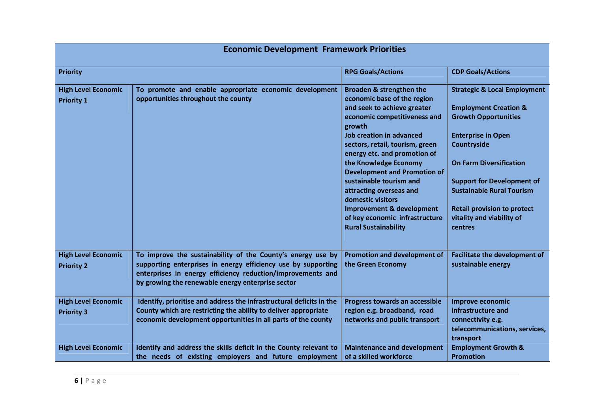| <b>Economic Development Framework Priorities</b> |                                                                                                                                                                                                                                                  |                                                                                                                                                                                                                                                                                                                                                                                                                                                                                            |                                                                                                                                                                                                                                                                                                                                                 |
|--------------------------------------------------|--------------------------------------------------------------------------------------------------------------------------------------------------------------------------------------------------------------------------------------------------|--------------------------------------------------------------------------------------------------------------------------------------------------------------------------------------------------------------------------------------------------------------------------------------------------------------------------------------------------------------------------------------------------------------------------------------------------------------------------------------------|-------------------------------------------------------------------------------------------------------------------------------------------------------------------------------------------------------------------------------------------------------------------------------------------------------------------------------------------------|
| <b>Priority</b>                                  |                                                                                                                                                                                                                                                  | <b>RPG Goals/Actions</b>                                                                                                                                                                                                                                                                                                                                                                                                                                                                   | <b>CDP Goals/Actions</b>                                                                                                                                                                                                                                                                                                                        |
| <b>High Level Economic</b><br><b>Priority 1</b>  | To promote and enable appropriate economic development<br>opportunities throughout the county                                                                                                                                                    | Broaden & strengthen the<br>economic base of the region<br>and seek to achieve greater<br>economic competitiveness and<br>growth<br><b>Job creation in advanced</b><br>sectors, retail, tourism, green<br>energy etc. and promotion of<br>the Knowledge Economy<br><b>Development and Promotion of</b><br>sustainable tourism and<br>attracting overseas and<br>domestic visitors<br><b>Improvement &amp; development</b><br>of key economic infrastructure<br><b>Rural Sustainability</b> | <b>Strategic &amp; Local Employment</b><br><b>Employment Creation &amp;</b><br><b>Growth Opportunities</b><br><b>Enterprise in Open</b><br>Countryside<br><b>On Farm Diversification</b><br><b>Support for Development of</b><br><b>Sustainable Rural Tourism</b><br><b>Retail provision to protect</b><br>vitality and viability of<br>centres |
| <b>High Level Economic</b><br><b>Priority 2</b>  | To improve the sustainability of the County's energy use by<br>supporting enterprises in energy efficiency use by supporting<br>enterprises in energy efficiency reduction/improvements and<br>by growing the renewable energy enterprise sector | <b>Promotion and development of</b><br>the Green Economy                                                                                                                                                                                                                                                                                                                                                                                                                                   | <b>Facilitate the development of</b><br>sustainable energy                                                                                                                                                                                                                                                                                      |
| <b>High Level Economic</b><br><b>Priority 3</b>  | Identify, prioritise and address the infrastructural deficits in the<br>County which are restricting the ability to deliver appropriate<br>economic development opportunities in all parts of the county                                         | Progress towards an accessible<br>region e.g. broadband, road<br>networks and public transport                                                                                                                                                                                                                                                                                                                                                                                             | <b>Improve economic</b><br>infrastructure and<br>connectivity e.g.<br>telecommunications, services,<br>transport                                                                                                                                                                                                                                |
| <b>High Level Economic</b>                       | Identify and address the skills deficit in the County relevant to<br>the needs of existing employers and future employment                                                                                                                       | <b>Maintenance and development</b><br>of a skilled workforce                                                                                                                                                                                                                                                                                                                                                                                                                               | <b>Employment Growth &amp;</b><br><b>Promotion</b>                                                                                                                                                                                                                                                                                              |